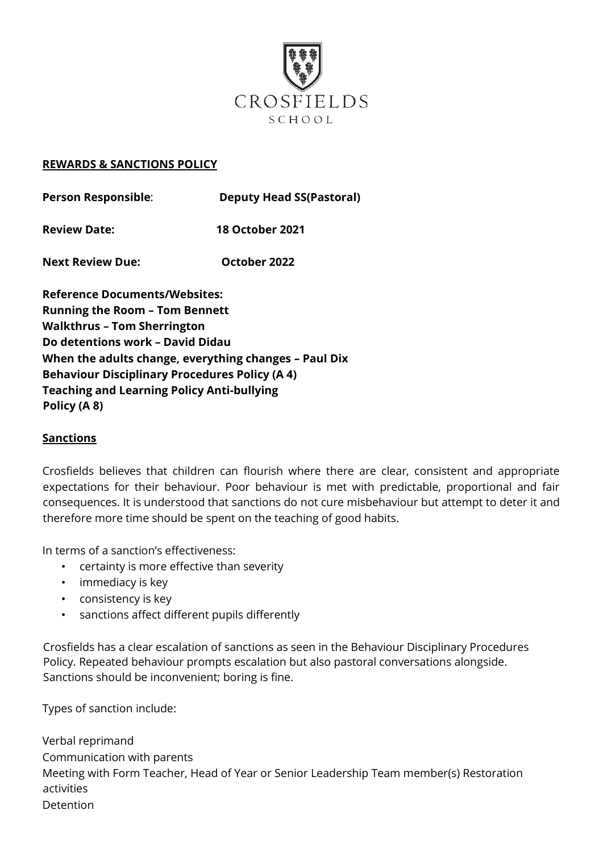

## **REWARDS & SANCTIONS POLICY**

| <b>Person Responsible:</b> | <b>Deputy Head SS(Pastoral)</b> |
|----------------------------|---------------------------------|
|                            |                                 |

**Review Date: 18 October 2021** 

**Next Review Due: October 2022** 

**Reference Documents/Websites: Running the Room – Tom Bennett Walkthrus – Tom Sherrington Do detentions work – David Didau When the adults change, everything changes – Paul Dix Behaviour Disciplinary Procedures Policy (A 4) Teaching and Learning Policy Anti-bullying Policy (A 8)** 

## **Sanctions**

Crosfields believes that children can flourish where there are clear, consistent and appropriate expectations for their behaviour. Poor behaviour is met with predictable, proportional and fair consequences. It is understood that sanctions do not cure misbehaviour but attempt to deter it and therefore more time should be spent on the teaching of good habits.

In terms of a sanction's effectiveness:

- certainty is more effective than severity
- immediacy is key
- consistency is key
- sanctions affect different pupils differently

Crosfields has a clear escalation of sanctions as seen in the Behaviour Disciplinary Procedures Policy. Repeated behaviour prompts escalation but also pastoral conversations alongside. Sanctions should be inconvenient; boring is fine.

Types of sanction include:

Verbal reprimand Communication with parents Meeting with Form Teacher, Head of Year or Senior Leadership Team member(s) Restoration activities Detention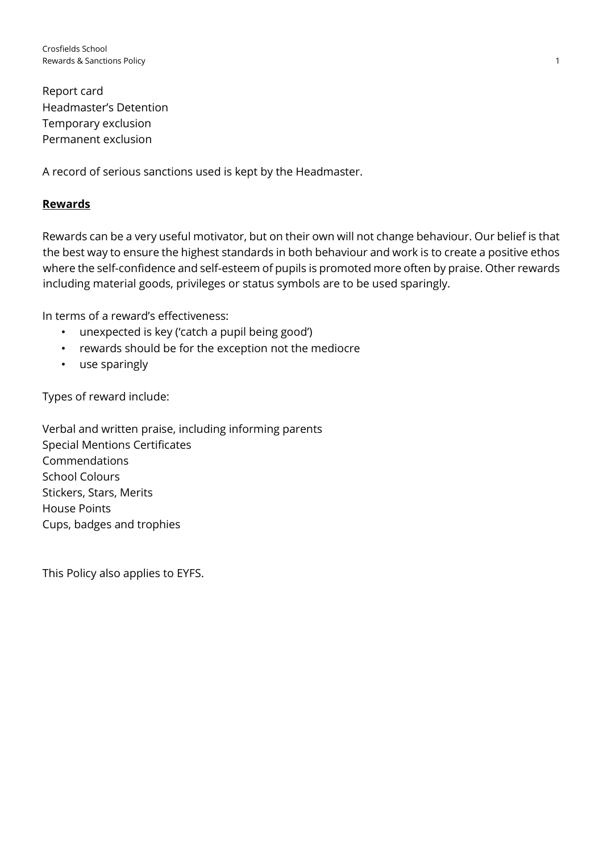Report card Headmaster's Detention Temporary exclusion Permanent exclusion

A record of serious sanctions used is kept by the Headmaster.

## **Rewards**

Rewards can be a very useful motivator, but on their own will not change behaviour. Our belief is that the best way to ensure the highest standards in both behaviour and work is to create a positive ethos where the self-confidence and self-esteem of pupils is promoted more often by praise. Other rewards including material goods, privileges or status symbols are to be used sparingly.

In terms of a reward's effectiveness:

- unexpected is key ('catch a pupil being good')
- rewards should be for the exception not the mediocre
- use sparingly

Types of reward include:

Verbal and written praise, including informing parents Special Mentions Certificates Commendations School Colours Stickers, Stars, Merits House Points Cups, badges and trophies

This Policy also applies to EYFS.